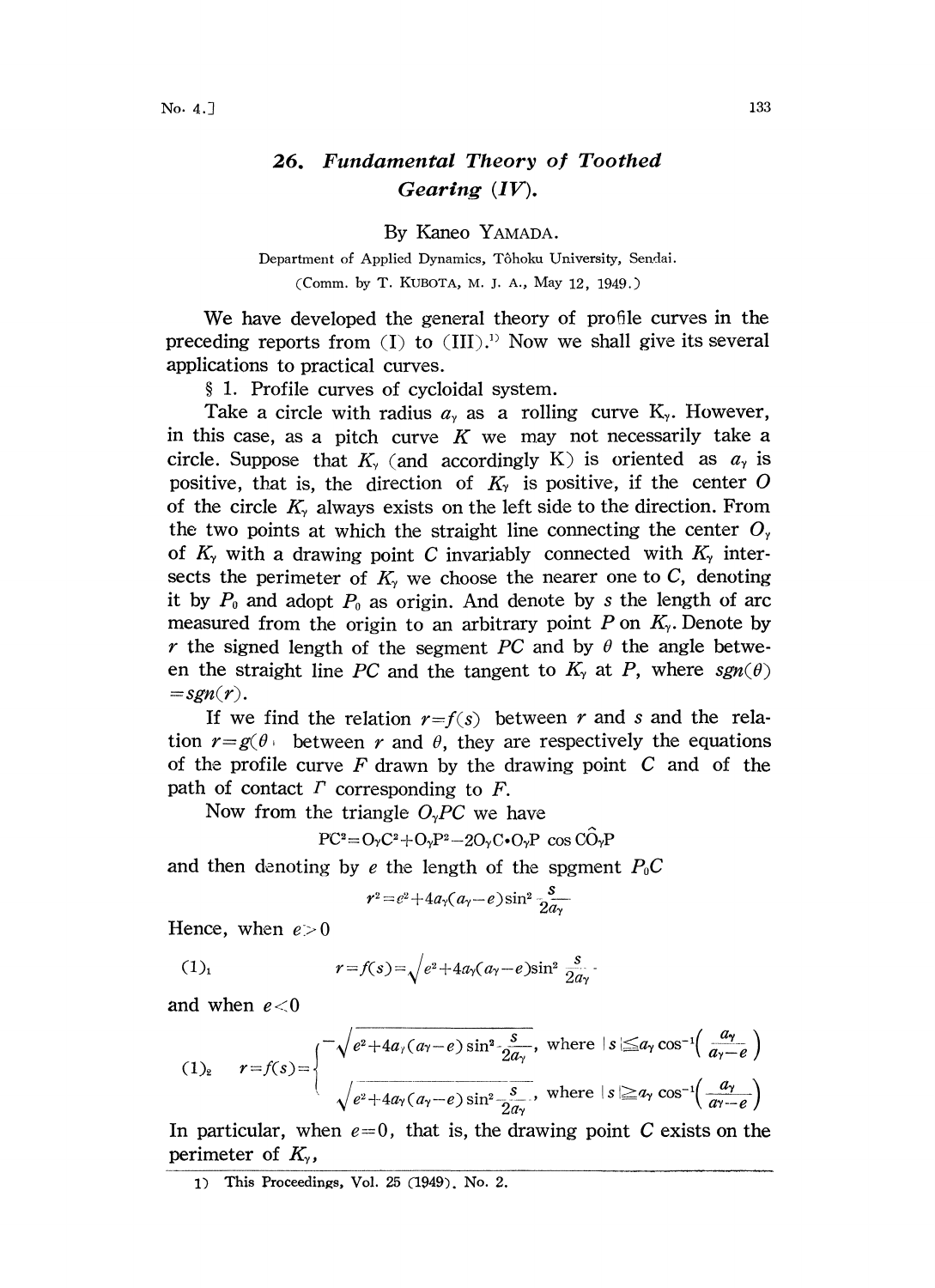## 26. Fundamental Theory of Toothed Gearing (IV).

By Kaneo YAMADA.

Department of Applied Dynamics, Tôhoku University, Sendai. (Comm. by T. KUBOTA, M. J. A., May 12, 1949.)

We have developed the general theory of profile curves in the preceding reports from  $(I)$  to  $(III)$ .<sup>1)</sup> Now we shall give its several applications to practical curves.

1. Profile curves of cycloidal system.

Take a circle with radius  $a<sub>y</sub>$  as a rolling curve  $K<sub>y</sub>$ . However, in this case, as a pitch curve  $K$  we may not necessarily take a circle. Suppose that  $K_{\gamma}$  (and accordingly K) is oriented as  $a_{\gamma}$  is positive, that is, the direction of  $K<sub>y</sub>$  is positive, if the center O of the circle  $K_{\gamma}$  always exists on the left side to the direction. From the two points at which the straight line connecting the center  $O_\gamma$ of  $K_{\gamma}$  with a drawing point C invariably connected with  $K_{\gamma}$  intersects the perimeter of  $K<sub>\gamma</sub>$  we choose the nearer one to C, denoting it by  $P_0$  and adopt  $P_0$  as origin. And denote by s the length of arc measured from the origin to an arbitrary point P on  $K_{\gamma}$ . Denote by r the signed length of the segment PC and by  $\theta$  the angle between the straight line PC and the tangent to  $K_{\gamma}$  at P, where  $sgn(\theta)$  $=sgn(r).$ 

If we find the relation  $r=f(s)$  between r and s and the relation  $r=g(\theta)$  between r and  $\theta$ , they are respectively the equations of the profile curve  $F$  drawn by the drawing point  $C$  and of the path of contact  $\Gamma$  corresponding to  $F$ .

Now from the triangle  $O<sub>v</sub>PC$  we have

 $PC^2=O_2C^2+O_2P^2-2O_2C\cdot O_2P$  cos  $C\widehat{O}_2P$ 

and then denoting by e the length of the spgment  $P_0C$ 

 $r^2 = e^2 + 4a_\gamma(a_\gamma - e) \sin^2 \frac{s}{2a_\gamma}$ 

Hence, when  $e > 0$ 

$$
(1)_1 \t\t r = f(s) = \sqrt{e^2 + 4a\sqrt{a\gamma - e}} \sin^2 \frac{s}{2a\gamma}.
$$

and when  $e < 0$ 

$$
(1)_2 \quad r = f(s) = \begin{cases} -\sqrt{e^2 + 4a_\gamma(a_\gamma - e)\sin^2\frac{s}{2a_\gamma}}, & \text{where } |s| \le a_\gamma \cos^{-1}\left(\frac{a_\gamma}{a_\gamma - e}\right) \\ \sqrt{e^2 + 4a_\gamma(a_\gamma - e)\sin^2\frac{s}{2a_\gamma}}, & \text{where } |s| \ge a_\gamma \cos^{-1}\left(\frac{a_\gamma}{a_\gamma - e}\right) \end{cases}
$$

In particular, when  $e=0$ , that is, the drawing point C exists on the perimeter of  $K_{\gamma}$ ,

<sup>1)</sup> This Proceedings, Vol. 25 (1949). No. 2.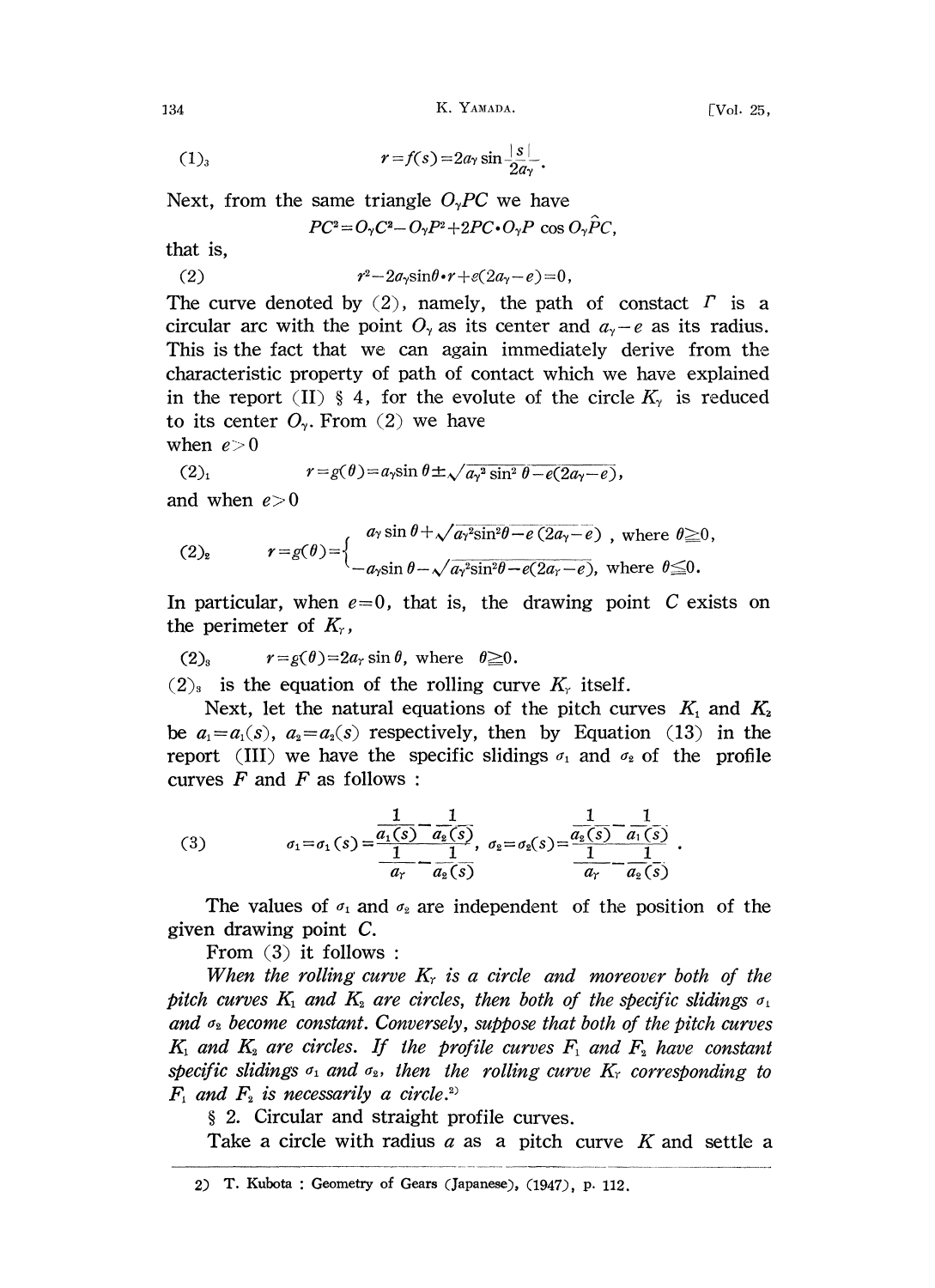134 K. YAMADA. [Vol. 25,

$$
(1)_3 \qquad \qquad r = f(s) = 2a_7 \sin \frac{|s|}{2a_7}.
$$

Next, from the same triangle  $O_{\gamma}PC$  we have

$$
PC^2 = O_{\gamma}C^2 - O_{\gamma}P^2 + 2PC \cdot O_{\gamma}P \cos O_{\gamma}\hat{P}C,
$$

that is,

(2)  $r^2-2a_r\sin\theta\cdot r + e(2a_r-e)=0,$ 

The curve denoted by (2), namely, the path of constact  $\Gamma$  is a circular arc with the point  $O_{\gamma}$  as its center and  $a_{\gamma}-e$  as its radius. This is the fact that we can again immediately derive from the characteristic property of path of contact which we have explained in the report (II) § 4, for the evolute of the circle  $K_{\gamma}$  is reduced to its center  $O_{\gamma}$ . From (2) we have

when  $e > 0$ 

(2)<sub>1</sub> 
$$
r = g(\theta) = a_1 \sin \theta \pm \sqrt{a_1^2 \sin^2 \theta - e(2a_1 - e)},
$$

and when  $e > 0$ 

(2)<sub>2</sub> 
$$
r = g(\theta) = \begin{cases} a_{\gamma} \sin \theta + \sqrt{a_{\gamma}^2 \sin^2 \theta - e (2a_{\gamma} - e)}, \text{ where } \theta \ge 0, \\ -a_{\gamma} \sin \theta - \sqrt{a_{\gamma}^2 \sin^2 \theta - e (2a_{\gamma} - e)}, \text{ where } \theta \le 0. \end{cases}
$$

In particular, when  $e=0$ , that is, the drawing point C exists on the perimeter of  $K_r$ ,

$$
(2)_8 \t r = g(\theta) = 2a_r \sin \theta, \text{ where } \theta \geq 0.
$$

 $(2)$  is the equation of the rolling curve  $K_r$  itself.

Next, let the natural equations of the pitch curves  $K_1$  and  $K_2$ be  $a_1=a_1(s)$ ,  $a_2=a_2(s)$  respectively, then by Equation (13) in the report (III) we have the specific slidings  $\sigma_1$  and  $\sigma_2$  of the profile curves  $F$  and  $F$  as follows:

(3) 
$$
\sigma_1 = \sigma_1(s) = \frac{\frac{1}{a_1(s)} - \frac{1}{a_2(s)}}{\frac{1}{a_1} - \frac{1}{a_2(s)}} , \quad \sigma_2 = \sigma_2(s) = \frac{\frac{1}{a_2(s)} - \frac{1}{a_1(s)}}{\frac{1}{a_1} - \frac{1}{a_2(s)}} .
$$

The values of  $\sigma_1$  and  $\sigma_2$  are independent of the position of the given drawing point C.

From  $(3)$  it follows:

When the rolling curve  $K_r$  is a circle and moreover both of the pitch curves  $K_1$  and  $K_2$  are circles, then both of the specific slidings  $\sigma_1$ and  $\sigma_2$  become constant. Conversely, suppose that both of the pitch curves  $K_1$  and  $K_2$  are circles. If the profile curves  $F_1$  and  $F_2$  have constant specific slidings  $\sigma_1$  and  $\sigma_2$ , then the rolling curve  $K_r$  corresponding to  $F_1$  and  $F_2$  is necessarily a circle.<sup>2)</sup>

2. Circular and straight profile curves.

Take a circle with radius  $a$  as a pitch curve K and settle a

<sup>2)</sup> T. Kubota : Geometry of Gears (Japanese), (1947), p. 112.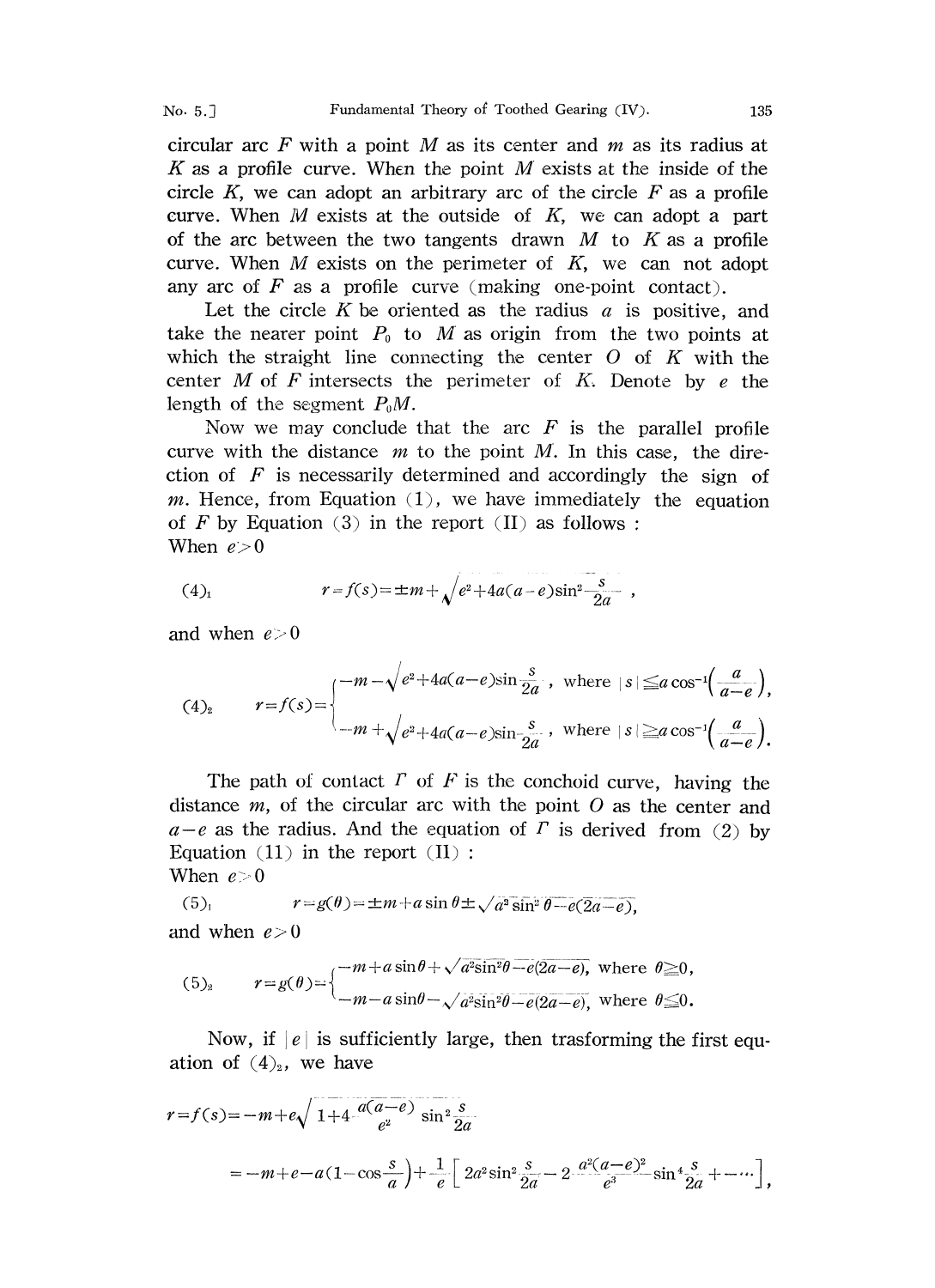circular arc F with a point M as its center and  $m$  as its radius at K as a profile curve. When the point  $M$  exists at the inside of the circle K, we can adopt an arbitrary arc of the circle  $F$  as a profile curve. When  $M$  exists at the outside of  $K$ , we can adopt a part of the arc between the two tangents drawn  $M$  to  $K$  as a profile curve. When  $M$  exists on the perimeter of  $K$ , we can not adopt any arc of  $F$  as a profile curve (making one-point contact).

Let the circle K be oriented as the radius  $a$  is positive, and take the nearer point  $P_0$  to M as origin from the two points at which the straight line connecting the center  $O$  of  $K$  with the center M of F intersects the perimeter of K. Denote by  $e$  the length of the segment  $P_0M$ .

Now we may conclude that the arc  $F$  is the parallel profile curve with the distance  $m$  to the point M. In this case, the direction of  $F$  is necessarily determined and accordingly the sign of m. Hence, from Equation  $(1)$ , we have immediately the equation of F by Equation (3) in the report (II) as follows: When  $e > 0$ 

(4)<sub>1</sub> 
$$
r = f(s) = \pm m + \sqrt{e^2 + 4a(a-e)\sin^2{\frac{s}{2a}}},
$$

and when  $e\geq 0$ 

$$
(4)_2 \qquad r=f(s)=\begin{cases} -m-\sqrt{e^2+4a(a-e)\sin{\frac{s}{2a}}}, & \text{where } |s| \leq a\cos^{-1}\left(\frac{a}{a-e}\right), \\ -m+\sqrt{e^2+4a(a-e)\sin{\frac{s}{2a}}}, & \text{where } |s| \geq a\cos^{-1}\left(\frac{a}{a-e}\right). \end{cases}
$$

The path of contact  $\Gamma$  of  $F$  is the conchoid curve, having the distance  $m$ , of the circular arc with the point  $O$  as the center and  $a-e$  as the radius. And the equation of  $\Gamma$  is derived from (2) by Equation  $(11)$  in the report  $(II)$ :

When  $e > 0$ 

(5)<sub>1</sub> 
$$
r = g(\theta) = \pm m + a \sin \theta \pm \sqrt{a^2 \sin^2 \theta - e(2a - e)},
$$
  
and when  $e > 0$ 

(5)<sub>2</sub> 
$$
r = g(\theta) = \begin{cases} -m + a \sin \theta + \sqrt{a^2 \sin^2 \theta - e(2a - e)}, \text{ where } \theta \ge 0, \\ -m - a \sin \theta - \sqrt{a^2 \sin^2 \theta - e(2a - e)}, \text{ where } \theta \le 0. \end{cases}
$$

Now, if  $|e|$  is sufficiently large, then trasforming the first equation of  $(4)_2$ , we have

$$
r = f(s) = -m + e \sqrt{1 + 4 \frac{a(a-e)}{e^2} \sin^2 \frac{s}{2a}}
$$
  
=  $-m + e - a(1 - \cos \frac{s}{a}) + \frac{1}{e} \left[ 2a^2 \sin^2 \frac{s}{2a} - 2 \frac{a^2(a-e)^2}{e^3} \sin^4 \frac{s}{2a} + \cdots \right],$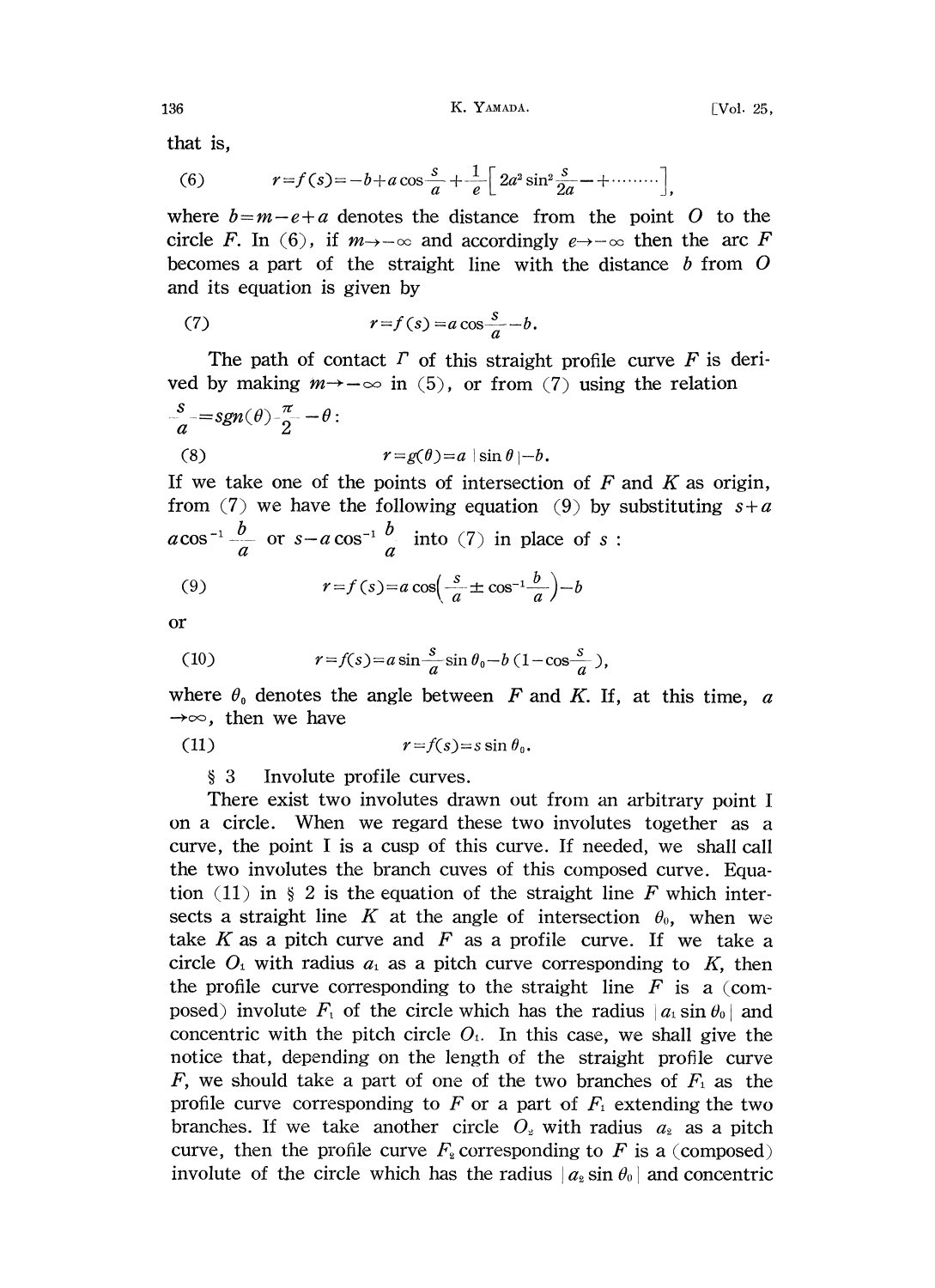136 K. YAMADA. [Vol. 25,

that is,

(6) 
$$
r=f(s)=-b+a\cos\frac{s}{a}+\frac{1}{e}\left[2a^2\sin^2\frac{s}{2a}-+\cdots\right],
$$

(6)  $r=f(s)=-b+a\cos{\frac{s}{a}}+\frac{1}{e}\left[2a^2\sin^2{\frac{s}{2a}}+\cdots\right],$ <br>where  $b=m-e+a$  denotes the distance from the point O to the circle F. In (6), if  $m \rightarrow -\infty$  and accordingly  $e \rightarrow -\infty$  then the arc F becomes a part of the straight line with the distance  $b$  from  $O$ and its equation is given by

(7) 
$$
r = f(s) = a \cos \frac{s}{a} - b.
$$

The path of contact  $\Gamma$  of this straight profile curve  $F$  is derived by making  $m \rightarrow -\infty$  in (5), or from (7) using the relation  $s_{\overline{\phantom{a}}}-sgn(\theta)$   $\frac{\pi}{2}-\theta$ : (8)  $r = g(\theta) = a \vert \sin \theta \vert -b.$ 

If we take one of the points of intersection of  $F$  and  $K$  as origin, from (7) we have the following equation (9) by substituting  $s+a$  $a\cos^{-1}\frac{b}{a}$  or  $s-a\cos^{-1}\frac{b}{a}$  into (7) in place of s:

(9) 
$$
r = f(s) = a \cos\left(\frac{s}{a} \pm \cos^{-1}\frac{b}{a}\right) - b
$$

or

(10) 
$$
r = f(s) = a \sin \frac{s}{a} \sin \theta_0 - b (1 - \cos \frac{s}{a}),
$$

where wher<br>  $\rightarrow \infty$ ,  $\theta_0$  denotes the angle between F and K. If, at this time, a  $\rightarrow \infty$ , then we have

(11)  $r=f(s)=s\sin\theta_0$ .

## 3 Involute profile curves.

There exist two involutes drawn out from an arbitrary point <sup>I</sup> on a circle. When we regard these two involutes together as a curve, the point <sup>I</sup> is a cusp of this curve. If needed, we shall call the two involutes the branch cuves of this composed curve. Equation (11) in  $\S$  2 is the equation of the straight line F which intersects a straight line K at the angle of intersection  $\theta_0$ , when we take K as a pitch curve and  $F$  as a profile curve. If we take a circle  $O_1$  with radius  $a_1$  as a pitch curve corresponding to K, then the profile curve corresponding to the straight line  $F$  is a (composed) involute  $F_1$  of the circle which has the radius  $|a_1 \sin \theta_0|$  and concentric with the pitch circle  $O<sub>1</sub>$ . In this case, we shall give the notice that, depending on the length of the straight profile curve F, we should take a part of one of the two branches of  $F_1$  as the profile curve corresponding to F or a part of  $F_1$  extending the two branches. If we take another circle  $O_2$  with radius  $a_2$  as a pitch curve, then the profile curve  $F_2$  corresponding to F is a (composed) involute of the circle which has the radius  $|a_2 \sin \theta_0|$  and concentric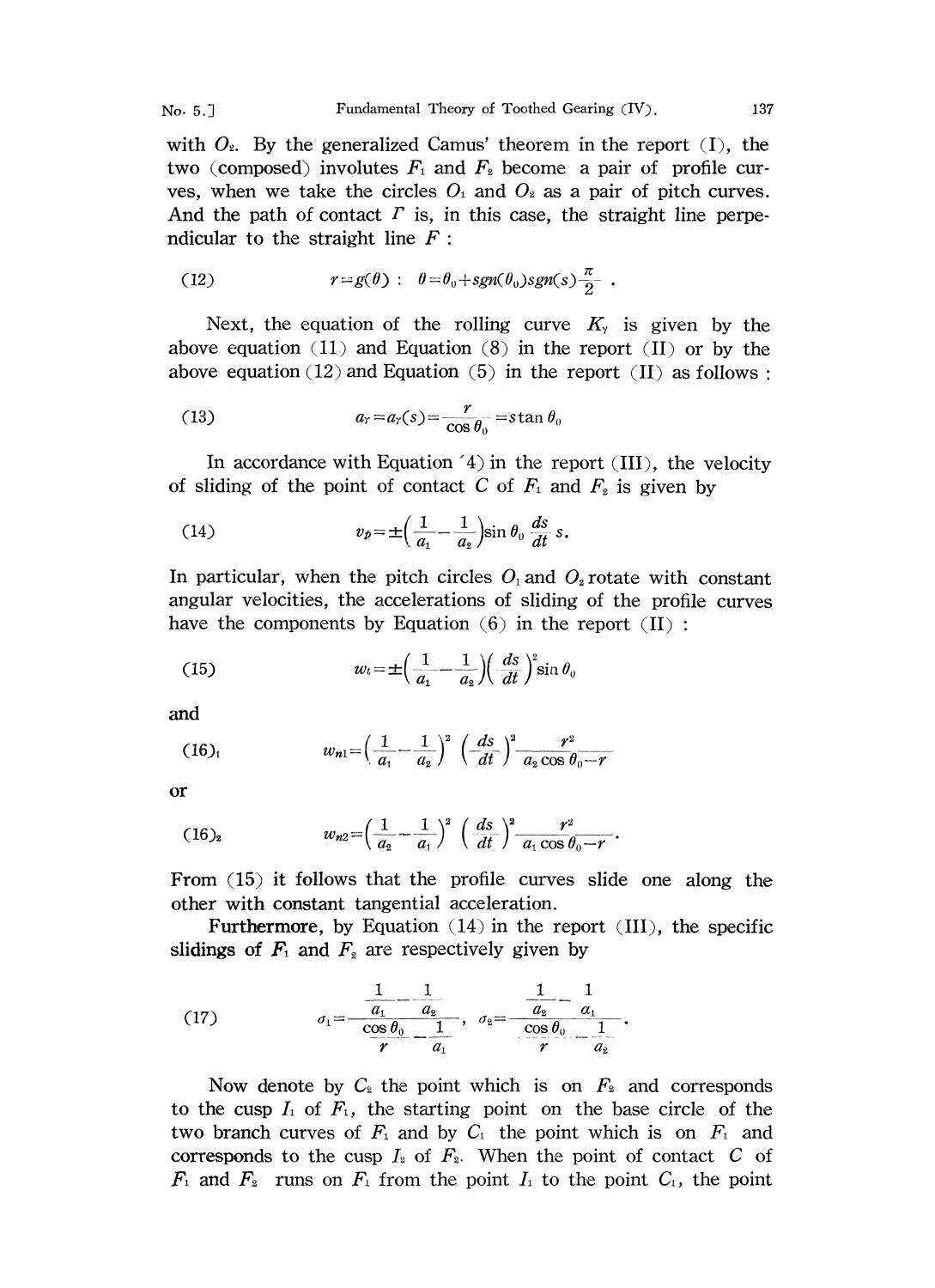with  $O_2$ . By the generalized Camus' theorem in the report (I), the two (composed) involutes  $F_1$  and  $F_2$  become a pair of profile curves, when we take the circles  $O_1$  and  $O_2$  as a pair of pitch curves. And the path of contact  $\Gamma$  is, in this case, the straight line perpendicular to the straight line  $F$ :

(12) 
$$
r = g(\theta) : \theta = \theta_0 + sgn(\theta_0) sgn(s) \frac{\pi}{2}.
$$

Next, the equation of the rolling curve  $K<sub>y</sub>$  is given by the above equation (11) and Equation (8) in the report (II) or by the above equation (12) and Equation (5) in the report (II) as follows:

(13) 
$$
a_r = a_r(s) = \frac{r}{\cos \theta_0} = \sin \theta_0
$$

In accordance with Equation  $(4)$  in the report (III), the velocity of sliding of the point of contact C of  $F_1$  and  $F_2$  is given by

(14) 
$$
v_p = \pm \left(\frac{1}{a_1} - \frac{1}{a_2}\right) \sin \theta_0 \frac{ds}{dt} s.
$$

In particular, when the pitch circles  $O_1$  and  $O_2$  rotate with constant angular velocities, the accelerations of sliding of the profile curves have the components by Equation  $(6)$  in the report  $(II)$ :

(15) 
$$
w_t = \pm \left(\frac{1}{a_1} - \frac{1}{a_2}\right) \left(\frac{ds}{dt}\right)^2 \sin \theta_0
$$

and

(16)<sub>1</sub> 
$$
w_{n1} = \left(\frac{1}{a_{1}} - \frac{1}{a_{2}}\right)^{2} \left(\frac{ds}{dt}\right)^{2} \frac{r^{2}}{a_{2} \cos \theta_{0} - r}
$$

or

$$
(16)_2 \t w_{n2} = \left(\frac{1}{a_2} - \frac{1}{a_1}\right)^2 \left(\frac{ds}{dt}\right)^2 \frac{r^2}{a_1 \cos \theta_0 - r}.
$$

From (15) it follows that the profile curves slide one along the other with constant tangential acceleration.

Furthermore, by Equation  $(14)$  in the report  $(III)$ , the specific slidings of  $F_1$  and  $F_2$  are respectively given by

(17) 
$$
\sigma_1 = \frac{\frac{1}{a_1} - \frac{1}{a_2}}{\frac{\cos \theta_0}{r} - \frac{1}{a_1}}, \quad \sigma_2 = \frac{\frac{1}{a_2} - \frac{1}{a_1}}{\frac{\cos \theta_0}{r} - \frac{1}{a_2}}.
$$

Now denote by  $C_2$  the point which is on  $F_2$  and corresponds to the cusp  $I_1$  of  $F_1$ , the starting point on the base circle of the two branch curves of  $F_1$  and by  $C_1$  the point which is on  $F_1$  and corresponds to the cusp  $I_2$  of  $F_2$ . When the point of contact C of  $F_1$  and  $F_2$  runs on  $F_1$  from the point  $I_1$  to the point  $C_1$ , the point